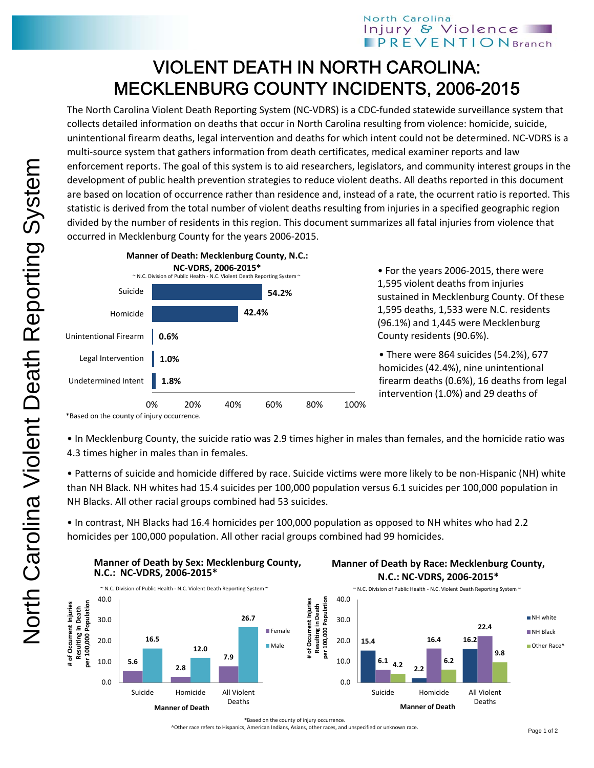## North Carolina Injury & Violence **PREVENTIONBranch**

## VIOLENT DEATH IN NORTH CAROLINA: MECKLENBURG COUNTY INCIDENTS, 2006-2015

The North Carolina Violent Death Reporting System (NC‐VDRS) is a CDC‐funded statewide surveillance system that collects detailed information on deaths that occur in North Carolina resulting from violence: homicide, suicide, unintentional firearm deaths, legal intervention and deaths for which intent could not be determined. NC‐VDRS is a multi-source system that gathers information from death certificates, medical examiner reports and law enforcement reports. The goal of this system is to aid researchers, legislators, and community interest groups in the development of public health prevention strategies to reduce violent deaths. All deaths reported in this document are based on location of occurrence rather than residence and, instead of a rate, the ocurrent ratio is reported. This statistic is derived from the total number of violent deaths resulting from injuries in a specified geographic region divided by the number of residents in this region. This document summarizes all fatal injuries from violence that occurred in Mecklenburg County for the years 2006‐2015.



• For the years 2006‐2015, there were 1,595 violent deaths from injuries sustained in Mecklenburg County. Of these 1,595 deaths, 1,533 were N.C. residents (96.1%) and 1,445 were Mecklenburg County residents (90.6%).

• There were 864 suicides (54.2%), 677 homicides (42.4%), nine unintentional firearm deaths (0.6%), 16 deaths from legal intervention (1.0%) and 29 deaths of

• In Mecklenburg County, the suicide ratio was 2.9 times higher in males than females, and the homicide ratio was 4.3 times higher in males than in females.

• Patterns of suicide and homicide differed by race. Suicide victims were more likely to be non‐Hispanic (NH) white than NH Black. NH whites had 15.4 suicides per 100,000 population versus 6.1 suicides per 100,000 population in NH Blacks. All other racial groups combined had 53 suicides.

• In contrast, NH Blacks had 16.4 homicides per 100,000 population as opposed to NH whites who had 2.2 homicides per 100,000 population. All other racial groups combined had 99 homicides.



## **Manner of Death by Race: Mecklenburg County, N.C.: NC‐VDRS, 2006‐2015\***

**16.4**

**16.2**

**22.4**

Deaths

**9.8**

\*Based on the county of injury occurrence.

^Other race refers to Hispanics, American Indians, Asians, other races, and unspecified or unknown race.

NH white NH Black Other Race<sup>®</sup>

<sup>\*</sup>Based on the county of injury occurrence.